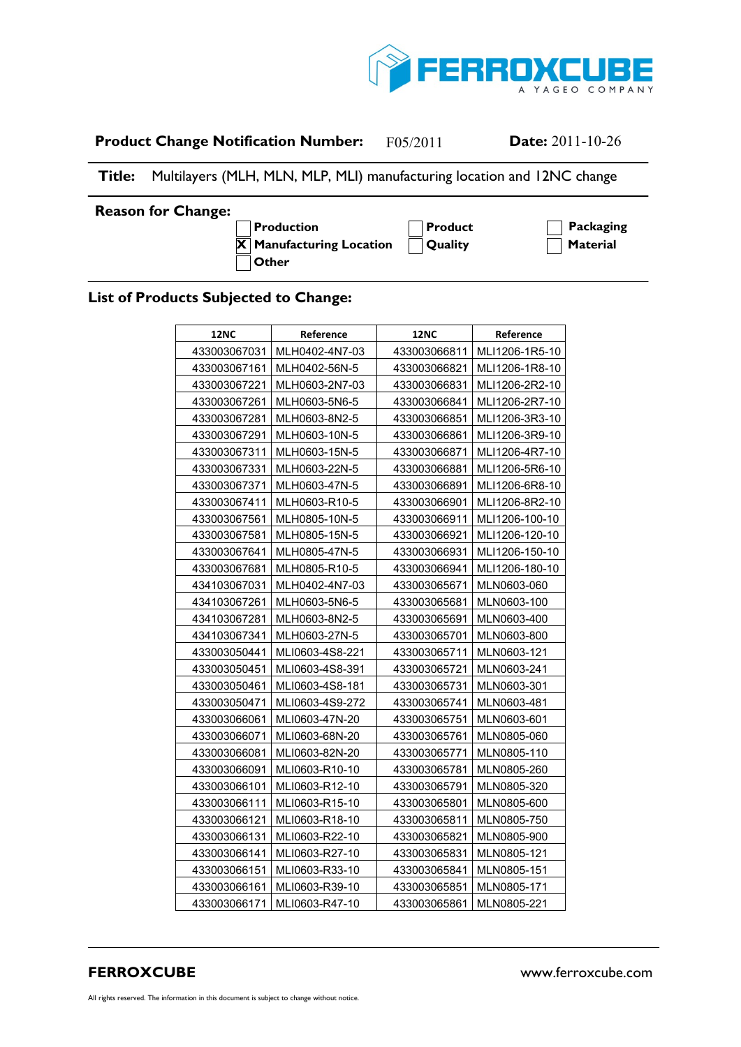

# **Product Change Notification Number:** F05/2011 **Date:** 2011-10-26

# **Title:** Multilayers (MLH, MLN, MLP, MLI) manufacturing location and 12NC change

### **Reason for Change:**

**A Other**

**A** Production **A Product Product A Packaging**  $\overline{X}$  **Manufacturing Location**  $\overline{A}$  **Quality**  $\overline{A}$  **Material** 

## **List of Products Subjected to Change:**

| <b>12NC</b>  | Reference       | <b>12NC</b>  | Reference      |
|--------------|-----------------|--------------|----------------|
| 433003067031 | MLH0402-4N7-03  | 433003066811 | MLI1206-1R5-10 |
| 433003067161 | MLH0402-56N-5   | 433003066821 | MLI1206-1R8-10 |
| 433003067221 | MLH0603-2N7-03  | 433003066831 | MLI1206-2R2-10 |
| 433003067261 | MLH0603-5N6-5   | 433003066841 | MLI1206-2R7-10 |
| 433003067281 | MLH0603-8N2-5   | 433003066851 | MLI1206-3R3-10 |
| 433003067291 | MLH0603-10N-5   | 433003066861 | MLI1206-3R9-10 |
| 433003067311 | MLH0603-15N-5   | 433003066871 | MLI1206-4R7-10 |
| 433003067331 | MLH0603-22N-5   | 433003066881 | MLI1206-5R6-10 |
| 433003067371 | MLH0603-47N-5   | 433003066891 | MLI1206-6R8-10 |
| 433003067411 | MLH0603-R10-5   | 433003066901 | MLI1206-8R2-10 |
| 433003067561 | MLH0805-10N-5   | 433003066911 | MLI1206-100-10 |
| 433003067581 | MLH0805-15N-5   | 433003066921 | MLI1206-120-10 |
| 433003067641 | MLH0805-47N-5   | 433003066931 | MLI1206-150-10 |
| 433003067681 | MLH0805-R10-5   | 433003066941 | MLI1206-180-10 |
| 434103067031 | MLH0402-4N7-03  | 433003065671 | MLN0603-060    |
| 434103067261 | MLH0603-5N6-5   | 433003065681 | MLN0603-100    |
| 434103067281 | MLH0603-8N2-5   | 433003065691 | MLN0603-400    |
| 434103067341 | MLH0603-27N-5   | 433003065701 | MLN0603-800    |
| 433003050441 | MLI0603-4S8-221 | 433003065711 | MLN0603-121    |
| 433003050451 | MLI0603-4S8-391 | 433003065721 | MLN0603-241    |
| 433003050461 | MLI0603-4S8-181 | 433003065731 | MLN0603-301    |
| 433003050471 | MLI0603-4S9-272 | 433003065741 | MLN0603-481    |
| 433003066061 | MLI0603-47N-20  | 433003065751 | MLN0603-601    |
| 433003066071 | MLI0603-68N-20  | 433003065761 | MLN0805-060    |
| 433003066081 | MLI0603-82N-20  | 433003065771 | MLN0805-110    |
| 433003066091 | MLI0603-R10-10  | 433003065781 | MLN0805-260    |
| 433003066101 | MLI0603-R12-10  | 433003065791 | MLN0805-320    |
| 433003066111 | MLI0603-R15-10  | 433003065801 | MLN0805-600    |
| 433003066121 | MLI0603-R18-10  | 433003065811 | MLN0805-750    |
| 433003066131 | MLI0603-R22-10  | 433003065821 | MLN0805-900    |
| 433003066141 | MLI0603-R27-10  | 433003065831 | MLN0805-121    |
| 433003066151 | MLI0603-R33-10  | 433003065841 | MLN0805-151    |
| 433003066161 | MLI0603-R39-10  | 433003065851 | MLN0805-171    |
| 433003066171 | MLI0603-R47-10  | 433003065861 | MLN0805-221    |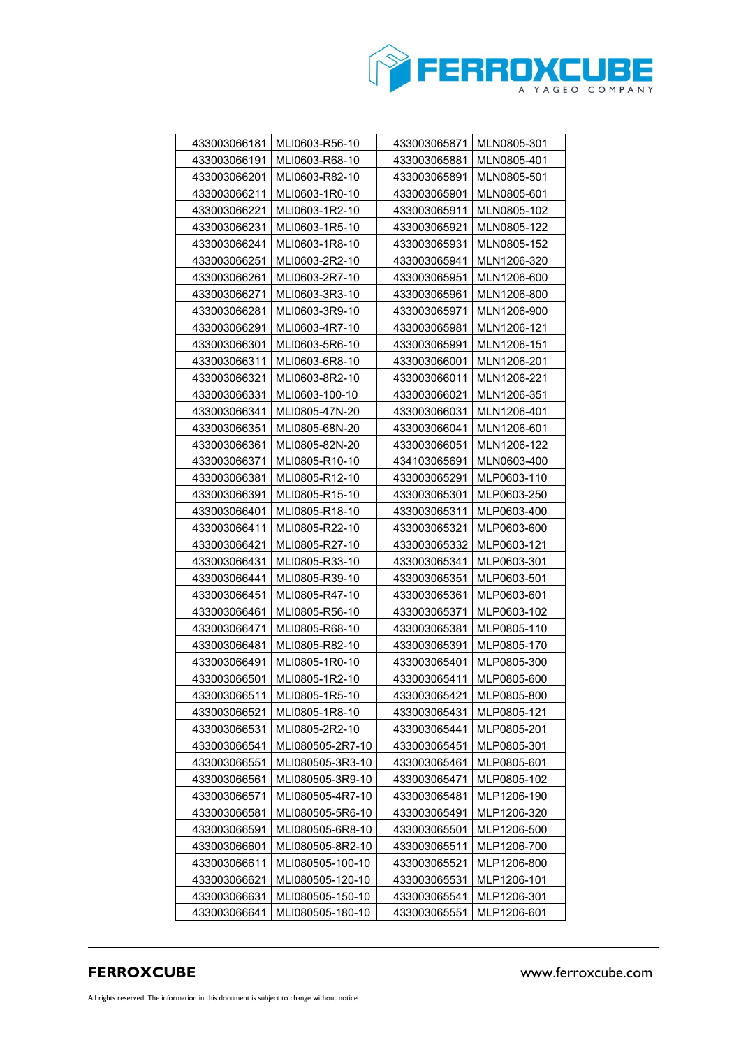

| 433003066181                 | MLI0603-R56-10                   | 433003065871                 | MLN0805-301                |
|------------------------------|----------------------------------|------------------------------|----------------------------|
| 433003066191                 | MLI0603-R68-10                   | 433003065881                 | MLN0805-401                |
| 433003066201                 | MLI0603-R82-10                   | 433003065891                 | MLN0805-501                |
| 433003066211                 | MLI0603-1R0-10                   | 433003065901                 | MLN0805-601                |
| 433003066221                 | MLI0603-1R2-10                   | 433003065911                 | MLN0805-102                |
| 433003066231                 | MLI0603-1R5-10                   | 433003065921                 | MLN0805-122                |
| 433003066241                 | MLI0603-1R8-10                   | 433003065931                 | MLN0805-152                |
| 433003066251                 | MLI0603-2R2-10                   | 433003065941                 | MLN1206-320                |
| 433003066261                 | MLI0603-2R7-10                   | 433003065951                 | MLN1206-600                |
| 433003066271                 | MLI0603-3R3-10                   | 433003065961                 | MLN1206-800                |
| 433003066281                 | MLI0603-3R9-10                   | 433003065971                 | MLN1206-900                |
| 433003066291                 | MLI0603-4R7-10                   | 433003065981                 | MLN1206-121                |
| 433003066301                 | MLI0603-5R6-10                   | 433003065991                 | MLN1206-151                |
| 433003066311                 | MLI0603-6R8-10                   | 433003066001                 | MLN1206-201                |
| 433003066321                 | MLI0603-8R2-10                   | 433003066011                 | MLN1206-221                |
| 433003066331                 | MLI0603-100-10                   | 433003066021                 | MLN1206-351                |
| 433003066341                 | MLI0805-47N-20                   | 433003066031                 | MLN1206-401                |
| 433003066351                 | MLI0805-68N-20                   | 433003066041                 | MLN1206-601                |
| 433003066361                 | MLI0805-82N-20                   | 433003066051                 | MLN1206-122                |
| 433003066371                 | MLI0805-R10-10                   | 434103065691                 | MLN0603-400                |
| 433003066381                 | MLI0805-R12-10                   | 433003065291                 | MLP0603-110                |
| 433003066391                 | MLI0805-R15-10                   | 433003065301                 | MLP0603-250                |
| 433003066401                 | MLI0805-R18-10                   | 433003065311                 | MLP0603-400                |
| 433003066411                 | MLI0805-R22-10                   | 433003065321                 | MLP0603-600                |
| 433003066421                 | MLI0805-R27-10                   | 433003065332                 | MLP0603-121                |
| 433003066431                 | MLI0805-R33-10                   | 433003065341                 | MLP0603-301                |
| 433003066441                 | MLI0805-R39-10                   | 433003065351                 | MLP0603-501                |
| 433003066451                 | MLI0805-R47-10                   | 433003065361                 | MLP0603-601                |
| 433003066461                 | MLI0805-R56-10                   | 433003065371                 | MLP0603-102                |
| 433003066471                 | MLI0805-R68-10                   | 433003065381                 | MLP0805-110                |
| 433003066481<br>433003066491 | MLI0805-R82-10<br>MLI0805-1R0-10 | 433003065391<br>433003065401 | MLP0805-170<br>MLP0805-300 |
| 433003066501                 | MLI0805-1R2-10                   | 433003065411                 | MLP0805-600                |
| 433003066511                 | MLI0805-1R5-10                   | 433003065421                 | MLP0805-800                |
| 433003066521                 | MLI0805-1R8-10                   | 433003065431                 | MLP0805-121                |
| 433003066531                 | MLI0805-2R2-10                   | 433003065441                 | MLP0805-201                |
| 433003066541                 | MLI080505-2R7-10                 | 433003065451                 | MLP0805-301                |
| 433003066551                 | MLI080505-3R3-10                 | 433003065461                 | MLP0805-601                |
| 433003066561                 | MLI080505-3R9-10                 | 433003065471                 | MLP0805-102                |
| 433003066571                 | MLI080505-4R7-10                 | 433003065481                 | MLP1206-190                |
| 433003066581                 | MLI080505-5R6-10                 | 433003065491                 | MLP1206-320                |
| 433003066591                 | MLI080505-6R8-10                 | 433003065501                 | MLP1206-500                |
| 433003066601                 | MLI080505-8R2-10                 | 433003065511                 | MLP1206-700                |
| 433003066611                 | MLI080505-100-10                 | 433003065521                 | MLP1206-800                |
| 433003066621                 | MLI080505-120-10                 | 433003065531                 | MLP1206-101                |
| 433003066631                 | MLI080505-150-10                 | 433003065541                 | MLP1206-301                |
| 433003066641                 | MLI080505-180-10                 | 433003065551                 | MLP1206-601                |